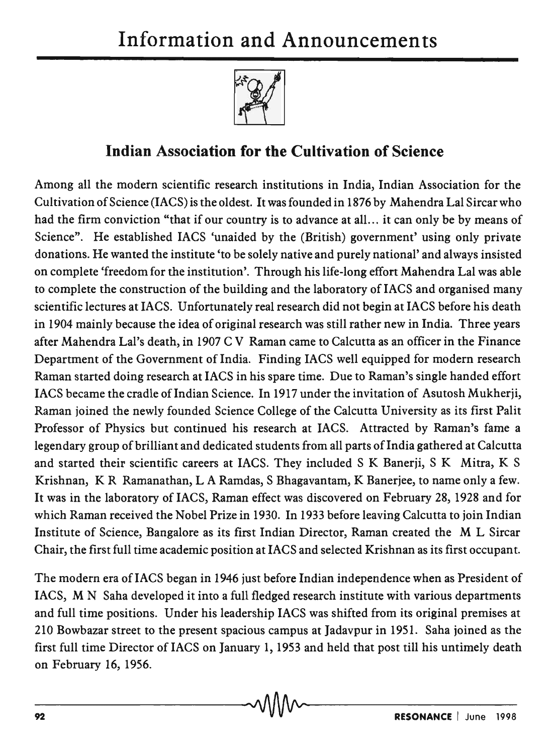

## **Indian Association for the Cultivation of Science**

Among all the modern scientific research institutions in India, Indian Association for the Cultivation of Science (lACS) is the oldest. It was founded in 1876 by Mahendra Lal Sircar who had the firm conviction "that if our country is to advance at all... it can only be by means of Science". He established lACS 'unaided by the (British) government' using only private donations. He wanted the institute 'to be solely native and purely national' and always insisted on complete 'freedom for the institution'. Through his life-long effort Mahendra Lal was able to complete the construction of the building and the laboratory of lACS and organised many scientific lectures at lACS. Unfortunately real research did not begin at lACS before his death in 1904 mainly because the idea of original research was still rather new in India. Three years after Mahendra Lal's death, in 1907 C V Raman came to Calcutta as an officer in the Finance Department of the Government of India. Finding lACS well equipped for modern research Raman started doing research at lACS in his spare time. Due to Raman's single handed effort lACS became the cradle of Indian Science. In 1917 under the invitation of Asutosh Mukherji, Raman joined the newly founded Science College of the Calcutta University as its first Palit Professor of Physics but continued his research at lACS. Attracted by Raman's fame a legendary group of brilliant and dedicated students from all parts of India gathered at Calcutta and started their scientific careers at lACS. They included S K Banerji, S K Mitra, K S Krishnan, K R Ramanathan, L A Ramdas, S Bhagavantam, K Banerjee, to name only a few. It was in the laboratory of lACS, Raman effect was discovered on February 28, 1928 and for which Raman received the Nobel Prize in 1930. In 1933 before leaving Calcutta to join Indian Institute of Science, Bangalore as its first Indian Director, Raman created the M L Sircar Chair, the first full time academic position at lACS and selected Krishnan as its first occupant.

The modern era of lACS began in 1946 just before Indian independence when as President of lACS, M N Saha developed it into a full fledged research institute with various departments and full time positions. Under his leadership lACS was shifted from its original premises at 210 Bowbazar street to the present spacious campus at Jadavpur in 1951. Saha joined as the first full time Director of lACS on January 1, 1953 and held that post till his untimely death on February 16, 1956.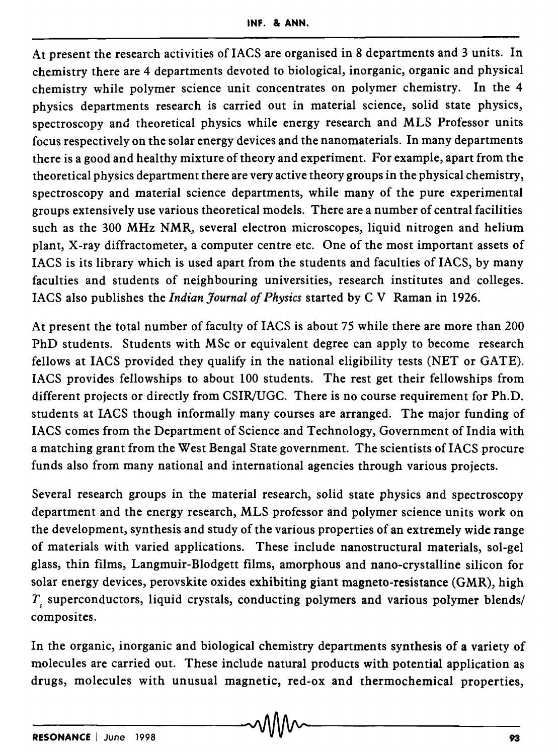At present the research activities of lACS are organised in 8 departments and 3 units. In chemistry there are 4 departments devoted to biological, inorganic, organic and physical chemistry while polymer science unit concentrates on polymer chemistry. In the 4 physics departments research is carried out in material science, solid state physics, spectroscopy and theoretical physics while energy research and MLS Professor units focus respectively on the solar energy devices and the nanomaterials. In many departments there is a good and healthy mixture of theory and experiment. For example, apart from the theoretical physics department there are very active theory groups in the physical chemistry, spectroscopy and material science departments, while many of the pure experimental groups extensively use various theoretical models. There are a number of central facilities such as the 300 MHz NMR, several electron microscopes, liquid nitrogen and helium plant, X-ray diffractometer, a computer centre etc. One of the most important assets of lACS is its library which is used apart from the students and faculties of lACS, by many faculties and students of neighbouring universities, research institutes and colleges. lACS also publishes the *Indian Journal of Physics* started by C V Raman in 1926.

At present the total number of faculty of lACS is about 75 while there are more than 200 PhD students. Students with MSc or equivalent degree can apply to become research fellows at lACS provided they qualify in the national eligibility tests (NET or GATE). lACS provides fellowships to about 100 students. The rest get their fellowships from different projects or directly from CSIR/UGC. There is no course requirement for Ph.D. students at lACS though informally many courses are arranged. The major funding of lACS comes from the Department of Science and Technology, Government of India with a matching grant from the West Bengal State government. The scientists of lACS procure funds also from many national and international agencies through various projects.

Several research groups in the material research, solid state physics and spectroscopy department and the energy research, MLS professor and polymer science units work on the development, synthesis and study of the various properties of an extremely wide range of materials with varied applications. These include nanostructural materials, sol-gel glass, thin films, Langmuir-Blodgett films, amorphous and nano-crystalline silicon for solar energy devices, perovskite oxides exhibiting giant magneto-resistance (GMR), high *T* superconductors, liquid crystals, conducting polymers and various polymer blends/ composites.

In the organic, inorganic and biological chemistry departments synthesis of a variety of molecules are carried out. These include natural products with potential application as drugs, molecules with unusual magnetic, red-ox and thermochemical properties,